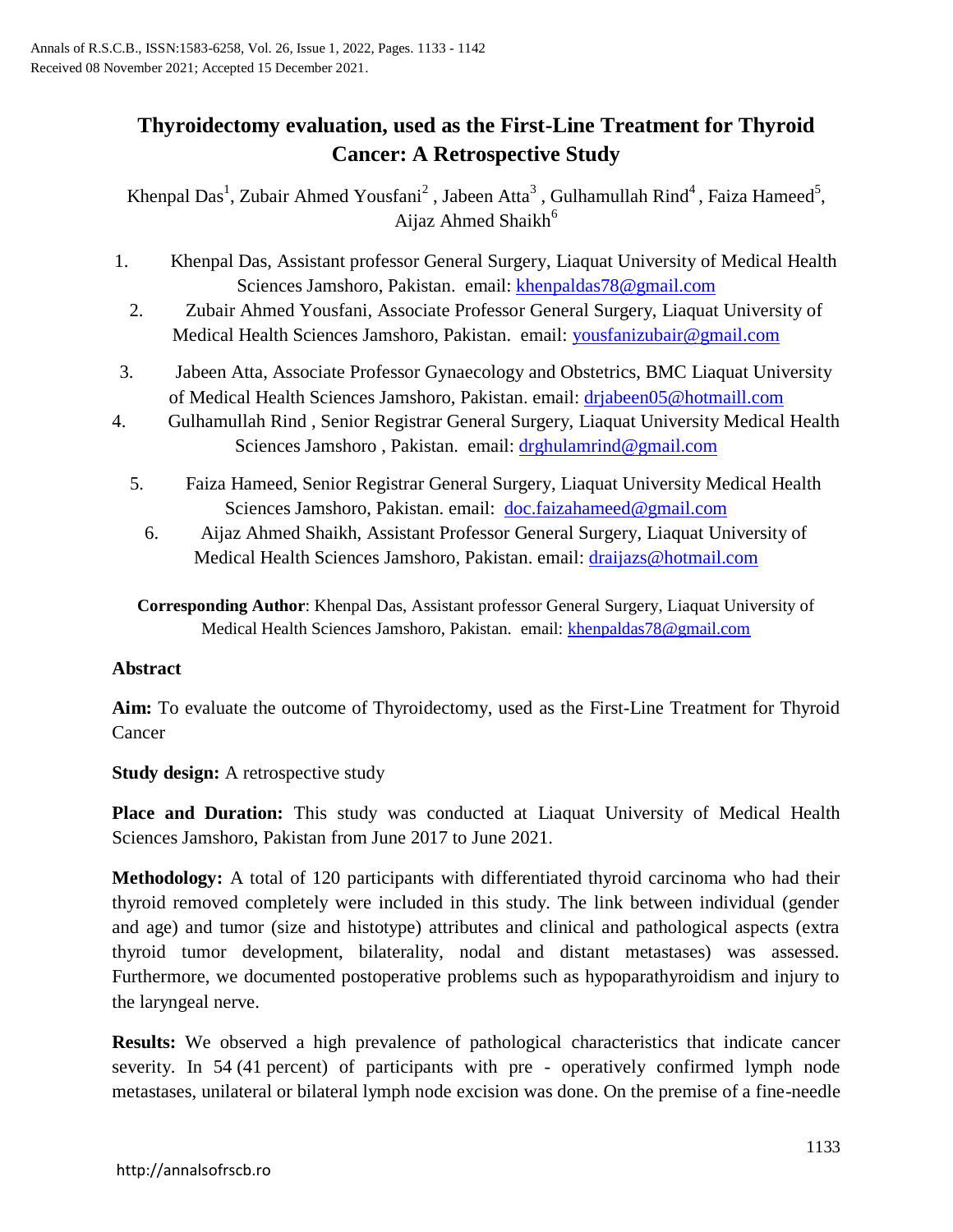# **Thyroidectomy evaluation, used as the First-Line Treatment for Thyroid Cancer: A Retrospective Study**

Khenpal Das<sup>1</sup>, Zubair Ahmed Yousfani<sup>2</sup>, Jabeen Atta<sup>3</sup>, Gulhamullah Rind<sup>4</sup>, Faiza Hameed<sup>5</sup>, Aijaz Ahmed Shaikh<sup>6</sup>

- 1. Khenpal Das, Assistant professor General Surgery, Liaquat University of Medical Health Sciences Jamshoro, Pakistan. email: [khenpaldas78@gmail.com](mailto:khenpaldas78@gmail.com)
	- 2. Zubair Ahmed Yousfani, Associate Professor General Surgery, Liaquat University of Medical Health Sciences Jamshoro, Pakistan. email: [yousfanizubair@gmail.com](mailto:yousfanizubair@gmail.com)
- 3. Jabeen Atta, Associate Professor Gynaecology and Obstetrics, BMC Liaquat University of Medical Health Sciences Jamshoro, Pakistan. email: [drjabeen05@hotmaill.com](mailto:drjabeen05@hotmaill.com)
- 4. Gulhamullah Rind , Senior Registrar General Surgery, Liaquat University Medical Health Sciences Jamshoro, Pakistan. email: [drghulamrind@gmail.com](mailto:drghulamrind@gmail.com)
	- 5. Faiza Hameed, Senior Registrar General Surgery, Liaquat University Medical Health Sciences Jamshoro, Pakistan. email: [doc.faizahameed@gmail.com](mailto:doc.faizahameed@gmail.com)
		- 6. Aijaz Ahmed Shaikh, Assistant Professor General Surgery, Liaquat University of Medical Health Sciences Jamshoro, Pakistan. email: [draijazs@hotmail.com](mailto:draijazs@hotmail.com)
	- **Corresponding Author**: Khenpal Das, Assistant professor General Surgery, Liaquat University of Medical Health Sciences Jamshoro, Pakistan. email: [khenpaldas78@gmail.com](mailto:khenpaldas78@gmail.com)

# **Abstract**

**Aim:** To evaluate the outcome of Thyroidectomy, used as the First-Line Treatment for Thyroid Cancer

**Study design:** A retrospective study

**Place and Duration:** This study was conducted at Liaquat University of Medical Health Sciences Jamshoro, Pakistan from June 2017 to June 2021.

**Methodology:** A total of 120 participants with differentiated thyroid carcinoma who had their thyroid removed completely were included in this study. The link between individual (gender and age) and tumor (size and histotype) attributes and clinical and pathological aspects (extra thyroid tumor development, bilaterality, nodal and distant metastases) was assessed. Furthermore, we documented postoperative problems such as hypoparathyroidism and injury to the laryngeal nerve.

**Results:** We observed a high prevalence of pathological characteristics that indicate cancer severity. In 54 (41 percent) of participants with pre - operatively confirmed lymph node metastases, unilateral or bilateral lymph node excision was done. On the premise of a fine-needle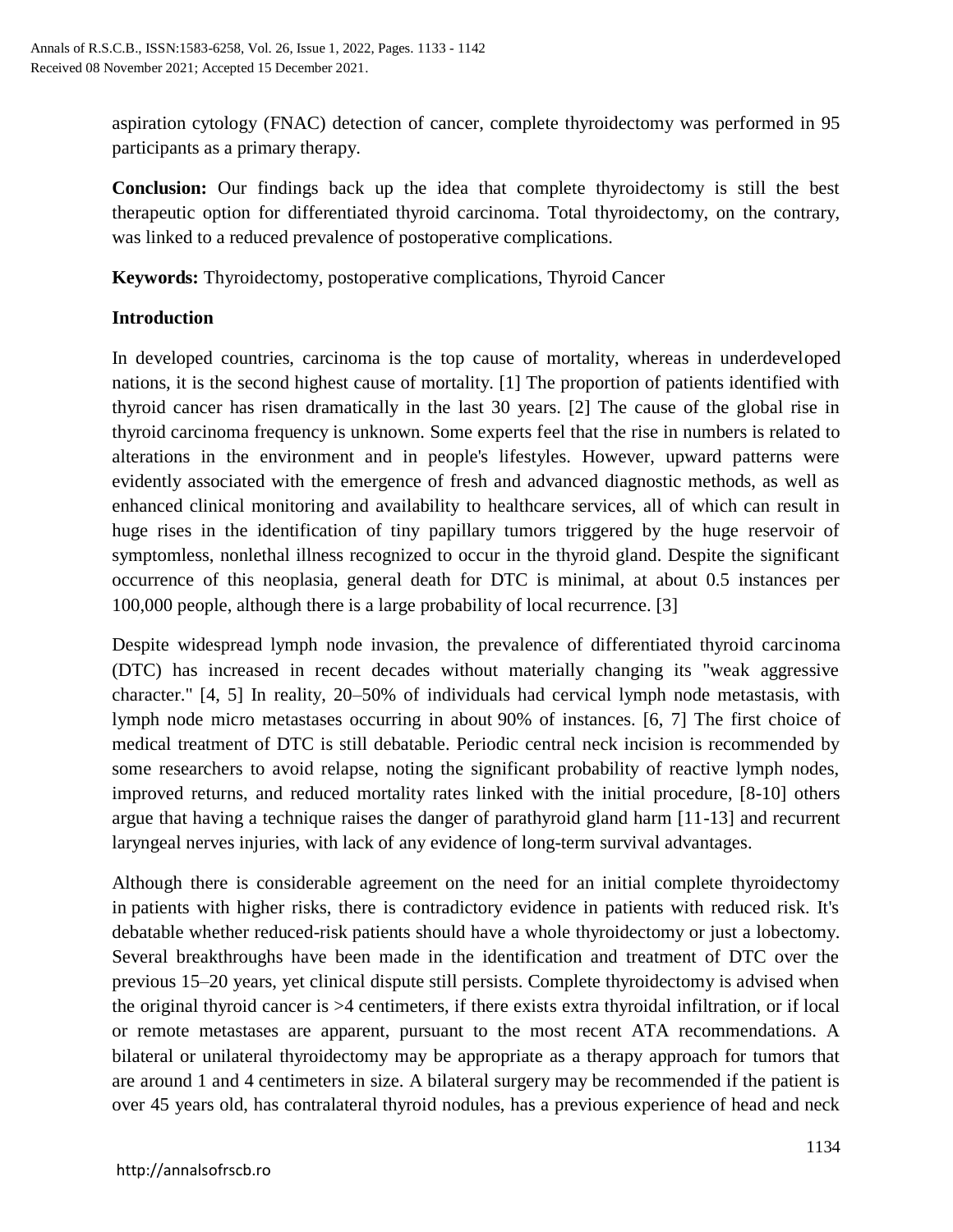aspiration cytology (FNAC) detection of cancer, complete thyroidectomy was performed in 95 participants as a primary therapy.

**Conclusion:** Our findings back up the idea that complete thyroidectomy is still the best therapeutic option for differentiated thyroid carcinoma. Total thyroidectomy, on the contrary, was linked to a reduced prevalence of postoperative complications.

**Keywords:** Thyroidectomy, postoperative complications, Thyroid Cancer

# **Introduction**

In developed countries, carcinoma is the top cause of mortality, whereas in underdeveloped nations, it is the second highest cause of mortality. [1] The proportion of patients identified with thyroid cancer has risen dramatically in the last 30 years. [2] The cause of the global rise in thyroid carcinoma frequency is unknown. Some experts feel that the rise in numbers is related to alterations in the environment and in people's lifestyles. However, upward patterns were evidently associated with the emergence of fresh and advanced diagnostic methods, as well as enhanced clinical monitoring and availability to healthcare services, all of which can result in huge rises in the identification of tiny papillary tumors triggered by the huge reservoir of symptomless, nonlethal illness recognized to occur in the thyroid gland. Despite the significant occurrence of this neoplasia, general death for DTC is minimal, at about 0.5 instances per 100,000 people, although there is a large probability of local recurrence. [3]

Despite widespread lymph node invasion, the prevalence of differentiated thyroid carcinoma (DTC) has increased in recent decades without materially changing its "weak aggressive character." [4, 5] In reality, 20–50% of individuals had cervical lymph node metastasis, with lymph node micro metastases occurring in about 90% of instances. [6, 7] The first choice of medical treatment of DTC is still debatable. Periodic central neck incision is recommended by some researchers to avoid relapse, noting the significant probability of reactive lymph nodes, improved returns, and reduced mortality rates linked with the initial procedure, [8-10] others argue that having a technique raises the danger of parathyroid gland harm [11-13] and recurrent laryngeal nerves injuries, with lack of any evidence of long-term survival advantages.

Although there is considerable agreement on the need for an initial complete thyroidectomy in patients with higher risks, there is contradictory evidence in patients with reduced risk. It's debatable whether reduced-risk patients should have a whole thyroidectomy or just a lobectomy. Several breakthroughs have been made in the identification and treatment of DTC over the previous 15–20 years, yet clinical dispute still persists. Complete thyroidectomy is advised when the original thyroid cancer is >4 centimeters, if there exists extra thyroidal infiltration, or if local or remote metastases are apparent, pursuant to the most recent ATA recommendations. A bilateral or unilateral thyroidectomy may be appropriate as a therapy approach for tumors that are around 1 and 4 centimeters in size. A bilateral surgery may be recommended if the patient is over 45 years old, has contralateral thyroid nodules, has a previous experience of head and neck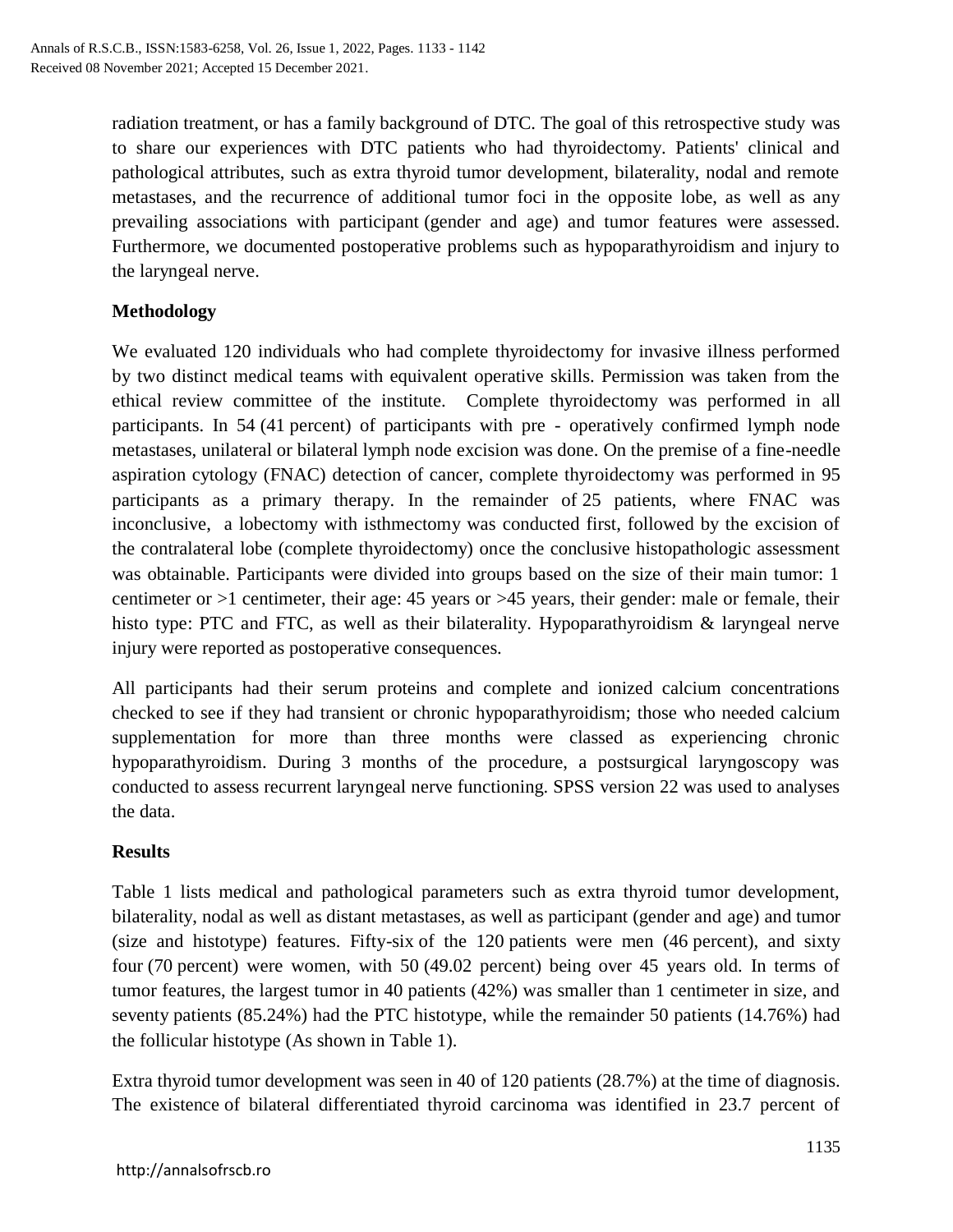radiation treatment, or has a family background of DTC. The goal of this retrospective study was to share our experiences with DTC patients who had thyroidectomy. Patients' clinical and pathological attributes, such as extra thyroid tumor development, bilaterality, nodal and remote metastases, and the recurrence of additional tumor foci in the opposite lobe, as well as any prevailing associations with participant (gender and age) and tumor features were assessed. Furthermore, we documented postoperative problems such as hypoparathyroidism and injury to the laryngeal nerve.

# **Methodology**

We evaluated 120 individuals who had complete thyroidectomy for invasive illness performed by two distinct medical teams with equivalent operative skills. Permission was taken from the ethical review committee of the institute. Complete thyroidectomy was performed in all participants. In 54 (41 percent) of participants with pre - operatively confirmed lymph node metastases, unilateral or bilateral lymph node excision was done. On the premise of a fine-needle aspiration cytology (FNAC) detection of cancer, complete thyroidectomy was performed in 95 participants as a primary therapy. In the remainder of 25 patients, where FNAC was inconclusive, a lobectomy with isthmectomy was conducted first, followed by the excision of the contralateral lobe (complete thyroidectomy) once the conclusive histopathologic assessment was obtainable. Participants were divided into groups based on the size of their main tumor: 1 centimeter or >1 centimeter, their age: 45 years or >45 years, their gender: male or female, their histo type: PTC and FTC, as well as their bilaterality. Hypoparathyroidism & laryngeal nerve injury were reported as postoperative consequences.

All participants had their serum proteins and complete and ionized calcium concentrations checked to see if they had transient or chronic hypoparathyroidism; those who needed calcium supplementation for more than three months were classed as experiencing chronic hypoparathyroidism. During 3 months of the procedure, a postsurgical laryngoscopy was conducted to assess recurrent laryngeal nerve functioning. SPSS version 22 was used to analyses the data.

## **Results**

Table 1 lists medical and pathological parameters such as extra thyroid tumor development, bilaterality, nodal as well as distant metastases, as well as participant (gender and age) and tumor (size and histotype) features. Fifty-six of the 120 patients were men (46 percent), and sixty four (70 percent) were women, with 50 (49.02 percent) being over 45 years old. In terms of tumor features, the largest tumor in 40 patients (42%) was smaller than 1 centimeter in size, and seventy patients (85.24%) had the PTC histotype, while the remainder 50 patients (14.76%) had the follicular histotype (As shown in Table 1).

Extra thyroid tumor development was seen in 40 of 120 patients (28.7%) at the time of diagnosis. The existence of bilateral differentiated thyroid carcinoma was identified in 23.7 percent of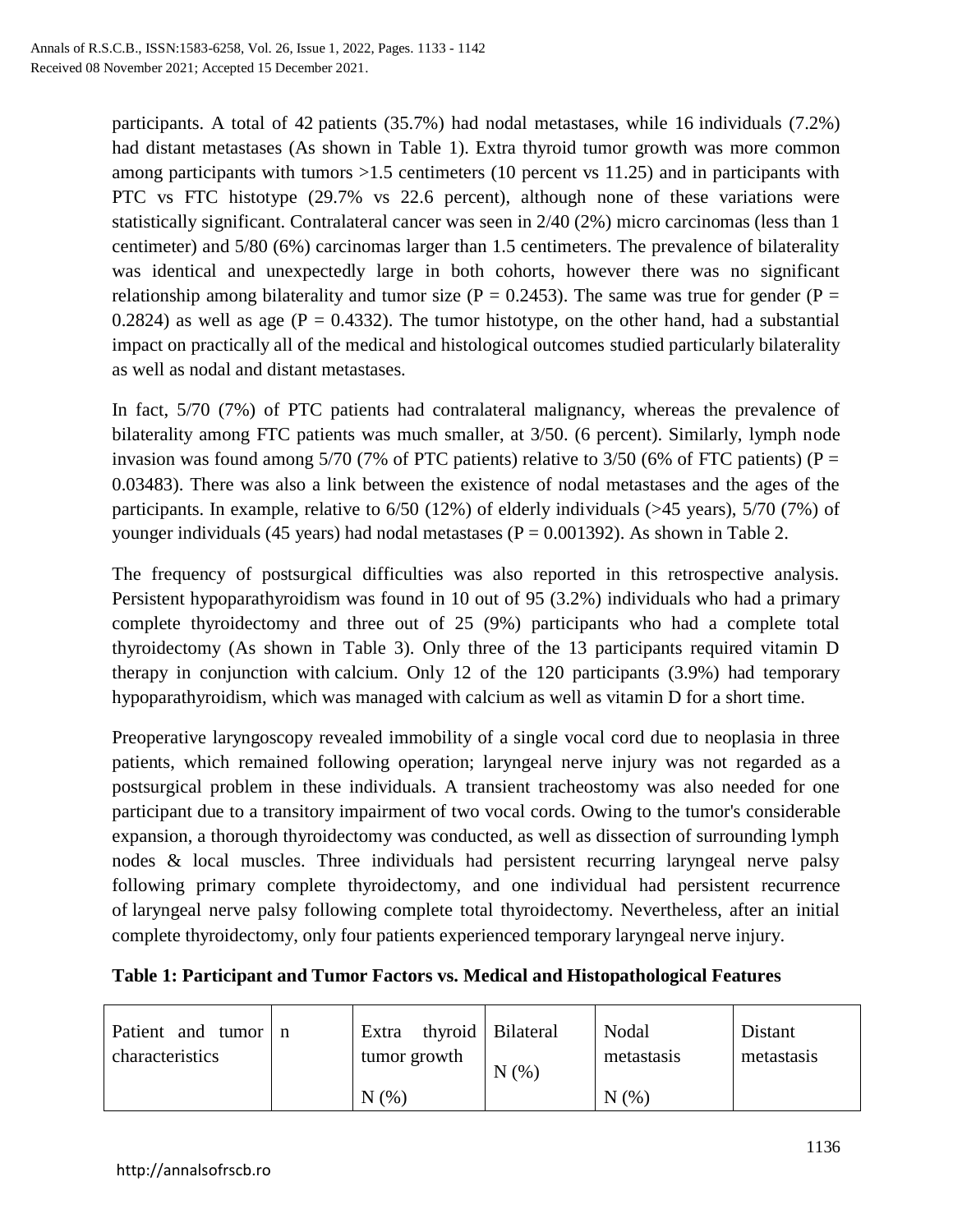participants. A total of 42 patients (35.7%) had nodal metastases, while 16 individuals (7.2%) had distant metastases (As shown in Table 1). Extra thyroid tumor growth was more common among participants with tumors  $>1.5$  centimeters (10 percent vs 11.25) and in participants with PTC vs FTC histotype (29.7% vs 22.6 percent), although none of these variations were statistically significant. Contralateral cancer was seen in 2/40 (2%) micro carcinomas (less than 1 centimeter) and 5/80 (6%) carcinomas larger than 1.5 centimeters. The prevalence of bilaterality was identical and unexpectedly large in both cohorts, however there was no significant relationship among bilaterality and tumor size ( $P = 0.2453$ ). The same was true for gender ( $P =$ 0.2824) as well as age ( $P = 0.4332$ ). The tumor histotype, on the other hand, had a substantial impact on practically all of the medical and histological outcomes studied particularly bilaterality as well as nodal and distant metastases.

In fact, 5/70 (7%) of PTC patients had contralateral malignancy, whereas the prevalence of bilaterality among FTC patients was much smaller, at 3/50. (6 percent). Similarly, lymph node invasion was found among  $5/70$  (7% of PTC patients) relative to  $3/50$  (6% of FTC patients) (P = 0.03483). There was also a link between the existence of nodal metastases and the ages of the participants. In example, relative to 6/50 (12%) of elderly individuals (>45 years), 5/70 (7%) of younger individuals (45 years) had nodal metastases ( $P = 0.001392$ ). As shown in Table 2.

The frequency of postsurgical difficulties was also reported in this retrospective analysis. Persistent hypoparathyroidism was found in 10 out of 95 (3.2%) individuals who had a primary complete thyroidectomy and three out of 25 (9%) participants who had a complete total thyroidectomy (As shown in Table 3). Only three of the 13 participants required vitamin D therapy in conjunction with calcium. Only 12 of the 120 participants (3.9%) had temporary hypoparathyroidism, which was managed with calcium as well as vitamin D for a short time.

Preoperative laryngoscopy revealed immobility of a single vocal cord due to neoplasia in three patients, which remained following operation; laryngeal nerve injury was not regarded as a postsurgical problem in these individuals. A transient tracheostomy was also needed for one participant due to a transitory impairment of two vocal cords. Owing to the tumor's considerable expansion, a thorough thyroidectomy was conducted, as well as dissection of surrounding lymph nodes & local muscles. Three individuals had persistent recurring laryngeal nerve palsy following primary complete thyroidectomy, and one individual had persistent recurrence of laryngeal nerve palsy following complete total thyroidectomy. Nevertheless, after an initial complete thyroidectomy, only four patients experienced temporary laryngeal nerve injury.

| Patient and<br>tumor<br>characteristics | n | Extra<br>tumor growth | thyroid   Bilateral<br>(% )<br>N | Nodal<br>metastasis | Distant<br>metastasis |
|-----------------------------------------|---|-----------------------|----------------------------------|---------------------|-----------------------|
|                                         |   | N(%                   |                                  | N(%                 |                       |

# **Table 1: Participant and Tumor Factors vs. Medical and Histopathological Features**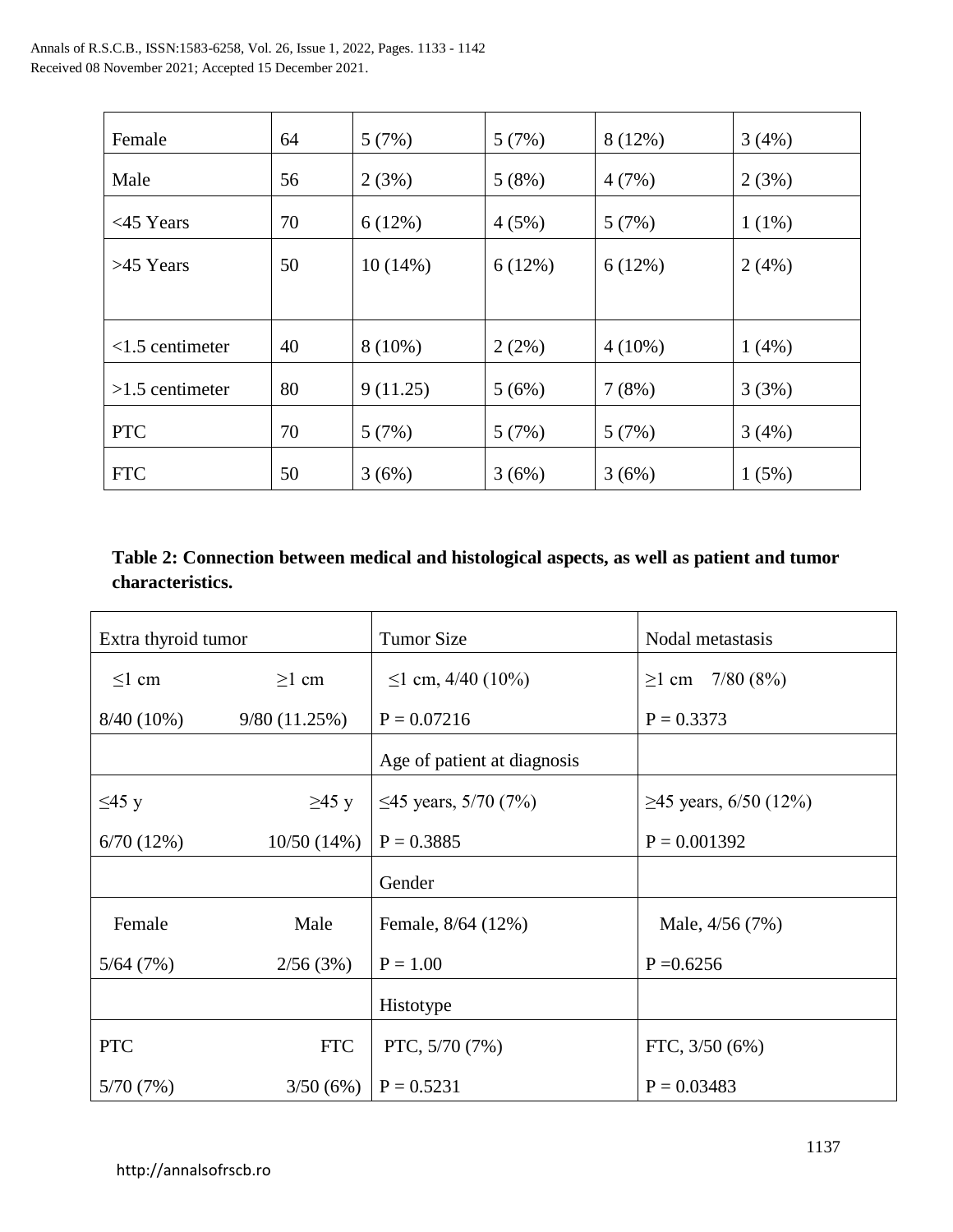| Female            | 64 | 5(7%)      | 5(7%)  | 8 (12%)   | 3(4%)    |
|-------------------|----|------------|--------|-----------|----------|
| Male              | 56 | 2(3%)      | 5(8%)  | 4(7%)     | 2(3%)    |
| $<$ 45 Years      | 70 | 6(12%)     | 4(5%)  | 5(7%)     | $1(1\%)$ |
| >45 Years         | 50 | $10(14\%)$ | 6(12%) | 6(12%)    | 2(4%)    |
|                   |    |            |        |           |          |
| $<1.5$ centimeter | 40 | $8(10\%)$  | 2(2%)  | $4(10\%)$ | $1(4\%)$ |
| $>1.5$ centimeter | 80 | 9(11.25)   | 5(6%)  | 7(8%)     | 3(3%)    |
| <b>PTC</b>        | 70 | 5(7%)      | 5(7%)  | 5(7%)     | 3(4%)    |
| <b>FTC</b>        | 50 | 3(6%)      | 3(6%)  | 3(6%)     | 1(5%)    |

# **Table 2: Connection between medical and histological aspects, as well as patient and tumor characteristics.**

| Extra thyroid tumor |              | <b>Tumor Size</b>           | Nodal metastasis            |
|---------------------|--------------|-----------------------------|-----------------------------|
| $\leq$ l cm         | $\geq$ 1 cm  | $\leq$ 1 cm, 4/40 (10%)     | $\geq$ 1 cm 7/80 (8%)       |
| $8/40(10\%)$        | 9/80(11.25%) | $P = 0.07216$               | $P = 0.3373$                |
|                     |              | Age of patient at diagnosis |                             |
| $\leq$ 45 y         | $\geq$ 45 y  | $\leq$ 45 years, 5/70 (7%)  | $\geq$ 45 years, 6/50 (12%) |
| 6/70(12%)           | 10/50(14%)   | $P = 0.3885$                | $P = 0.001392$              |
|                     |              | Gender                      |                             |
| Female              | Male         | Female, 8/64 (12%)          | Male, 4/56 (7%)             |
| 5/64(7%)            | 2/56(3%)     | $P = 1.00$                  | $P = 0.6256$                |
|                     |              | Histotype                   |                             |
| <b>PTC</b>          | <b>FTC</b>   | PTC, 5/70 (7%)              | FTC, $3/50(6\%)$            |
| 5/70(7%)            | 3/50(6%)     | $P = 0.5231$                | $P = 0.03483$               |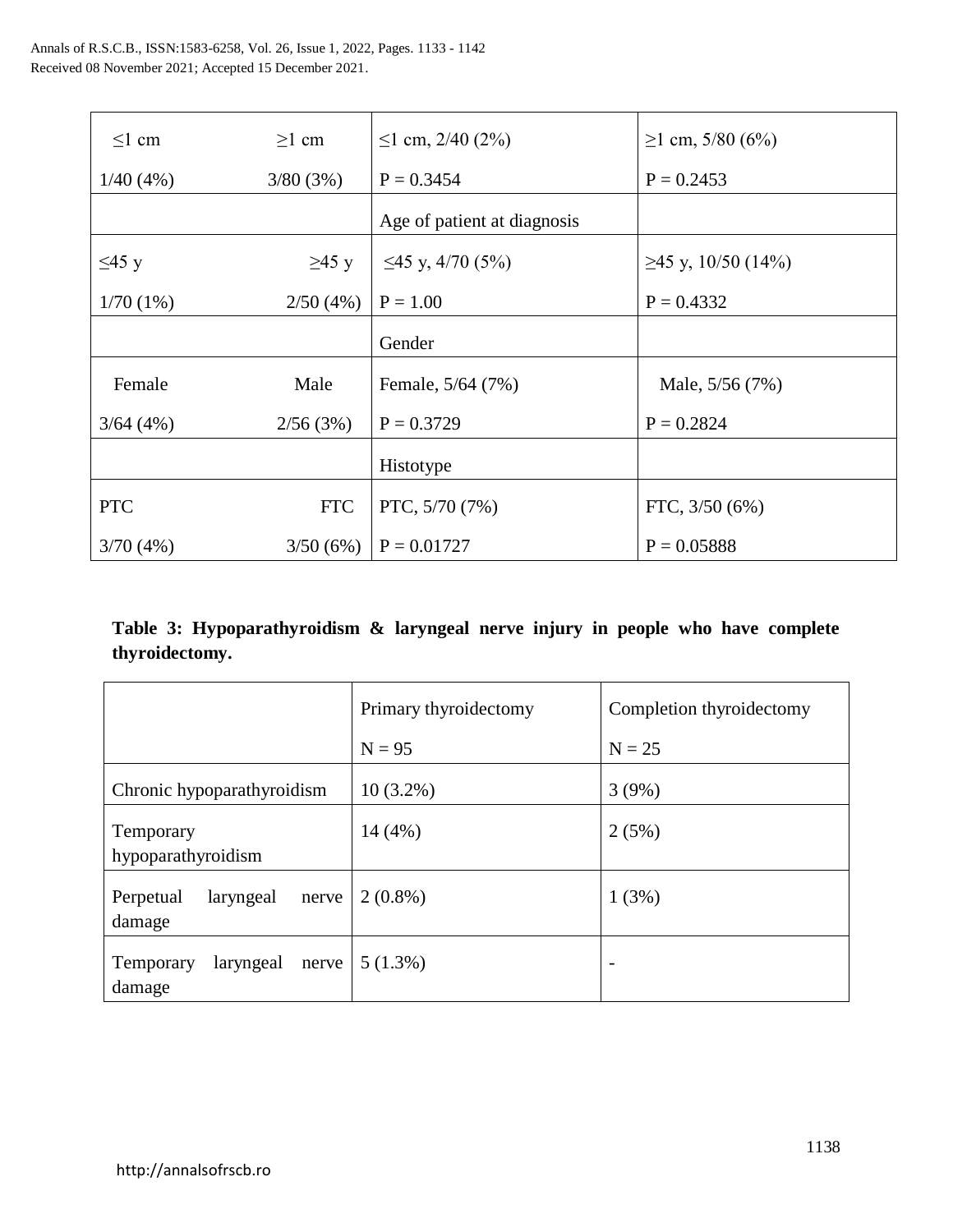| $\leq$ l cm | $\geq$ 1 cm | $\leq$ 1 cm, 2/40 (2%)      | $\geq$ 1 cm, 5/80 (6%)   |
|-------------|-------------|-----------------------------|--------------------------|
| 1/40(4%)    | 3/80(3%)    | $P = 0.3454$                | $P = 0.2453$             |
|             |             | Age of patient at diagnosis |                          |
| $\leq$ 45 y | $\geq$ 45 y | $\leq$ 45 y, 4/70 (5%)      | $\geq$ 45 y, 10/50 (14%) |
| 1/70(1%)    | 2/50(4%)    | $P = 1.00$                  | $P = 0.4332$             |
|             |             | Gender                      |                          |
| Female      | Male        | Female, 5/64 (7%)           | Male, 5/56 (7%)          |
| 3/64(4%)    | 2/56(3%)    | $P = 0.3729$                | $P = 0.2824$             |
|             |             | Histotype                   |                          |
| <b>PTC</b>  | <b>FTC</b>  | PTC, 5/70 (7%)              | FTC, $3/50(6%)$          |
| 3/70(4%)    | 3/50(6%)    | $P = 0.01727$               | $P = 0.05888$            |

**Table 3: Hypoparathyroidism & laryngeal nerve injury in people who have complete thyroidectomy.**

|                                             | Primary thyroidectomy | Completion thyroidectomy |  |
|---------------------------------------------|-----------------------|--------------------------|--|
|                                             | $N = 95$              | $N = 25$                 |  |
| Chronic hypoparathyroidism                  | $10(3.2\%)$           | 3(9%)                    |  |
| Temporary<br>hypoparathyroidism             | 14(4%)                | 2(5%)                    |  |
| Perpetual<br>laryngeal<br>nerve<br>damage   | $2(0.8\%)$            | 1(3%)                    |  |
| laryngeal<br>Temporary<br>nerve  <br>damage | $5(1.3\%)$            | $\overline{\phantom{a}}$ |  |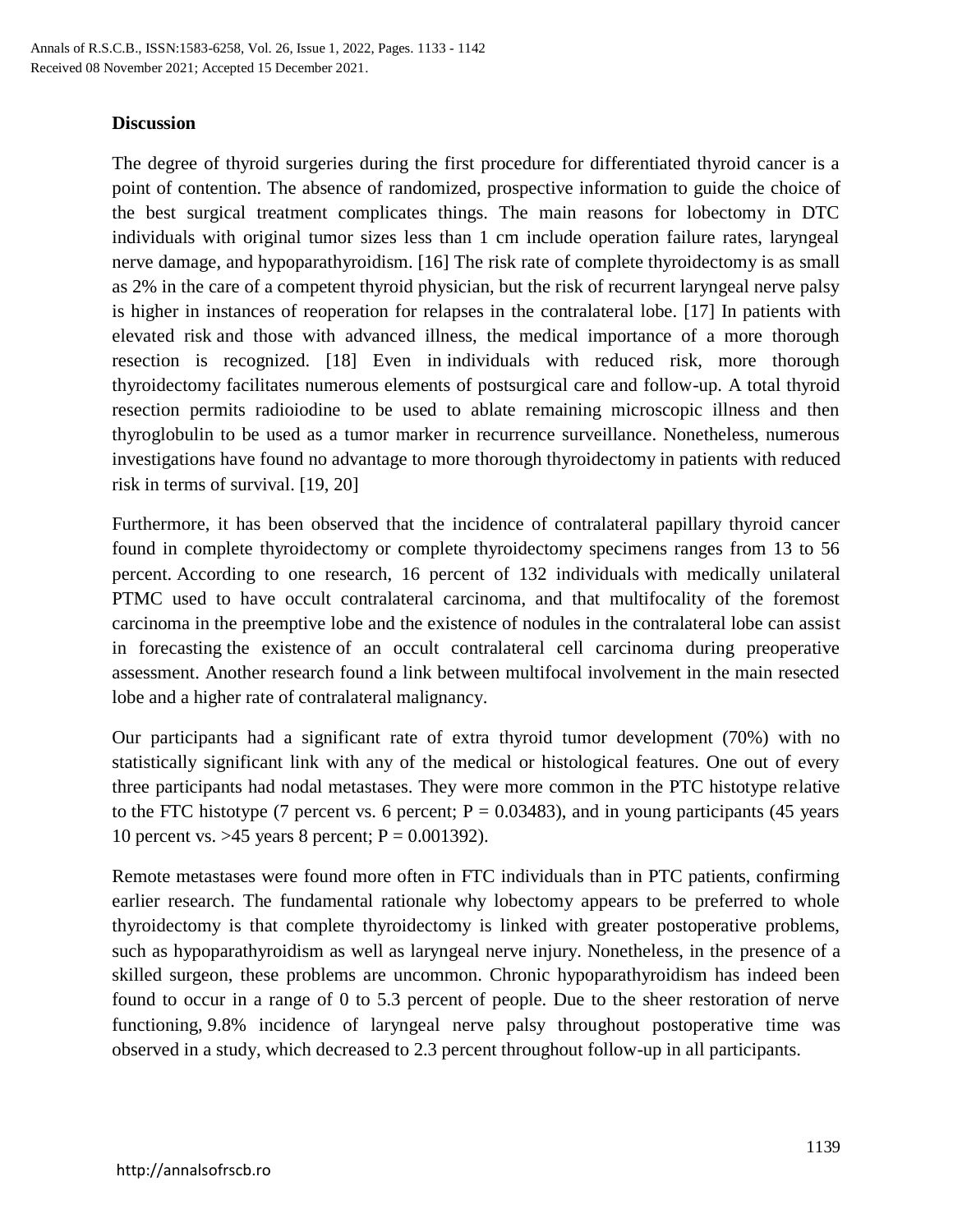#### **Discussion**

The degree of thyroid surgeries during the first procedure for differentiated thyroid cancer is a point of contention. The absence of randomized, prospective information to guide the choice of the best surgical treatment complicates things. The main reasons for lobectomy in DTC individuals with original tumor sizes less than 1 cm include operation failure rates, laryngeal nerve damage, and hypoparathyroidism. [16] The risk rate of complete thyroidectomy is as small as 2% in the care of a competent thyroid physician, but the risk of recurrent laryngeal nerve palsy is higher in instances of reoperation for relapses in the contralateral lobe. [17] In patients with elevated risk and those with advanced illness, the medical importance of a more thorough resection is recognized. [18] Even in individuals with reduced risk, more thorough thyroidectomy facilitates numerous elements of postsurgical care and follow-up. A total thyroid resection permits radioiodine to be used to ablate remaining microscopic illness and then thyroglobulin to be used as a tumor marker in recurrence surveillance. Nonetheless, numerous investigations have found no advantage to more thorough thyroidectomy in patients with reduced risk in terms of survival. [19, 20]

Furthermore, it has been observed that the incidence of contralateral papillary thyroid cancer found in complete thyroidectomy or complete thyroidectomy specimens ranges from 13 to 56 percent. According to one research, 16 percent of 132 individuals with medically unilateral PTMC used to have occult contralateral carcinoma, and that multifocality of the foremost carcinoma in the preemptive lobe and the existence of nodules in the contralateral lobe can assist in forecasting the existence of an occult contralateral cell carcinoma during preoperative assessment. Another research found a link between multifocal involvement in the main resected lobe and a higher rate of contralateral malignancy.

Our participants had a significant rate of extra thyroid tumor development (70%) with no statistically significant link with any of the medical or histological features. One out of every three participants had nodal metastases. They were more common in the PTC histotype relative to the FTC histotype (7 percent vs. 6 percent;  $P = 0.03483$ ), and in young participants (45 years 10 percent vs. > 45 years 8 percent;  $P = 0.001392$ ).

Remote metastases were found more often in FTC individuals than in PTC patients, confirming earlier research. The fundamental rationale why lobectomy appears to be preferred to whole thyroidectomy is that complete thyroidectomy is linked with greater postoperative problems, such as hypoparathyroidism as well as laryngeal nerve injury. Nonetheless, in the presence of a skilled surgeon, these problems are uncommon. Chronic hypoparathyroidism has indeed been found to occur in a range of 0 to 5.3 percent of people. Due to the sheer restoration of nerve functioning, 9.8% incidence of laryngeal nerve palsy throughout postoperative time was observed in a study, which decreased to 2.3 percent throughout follow-up in all participants.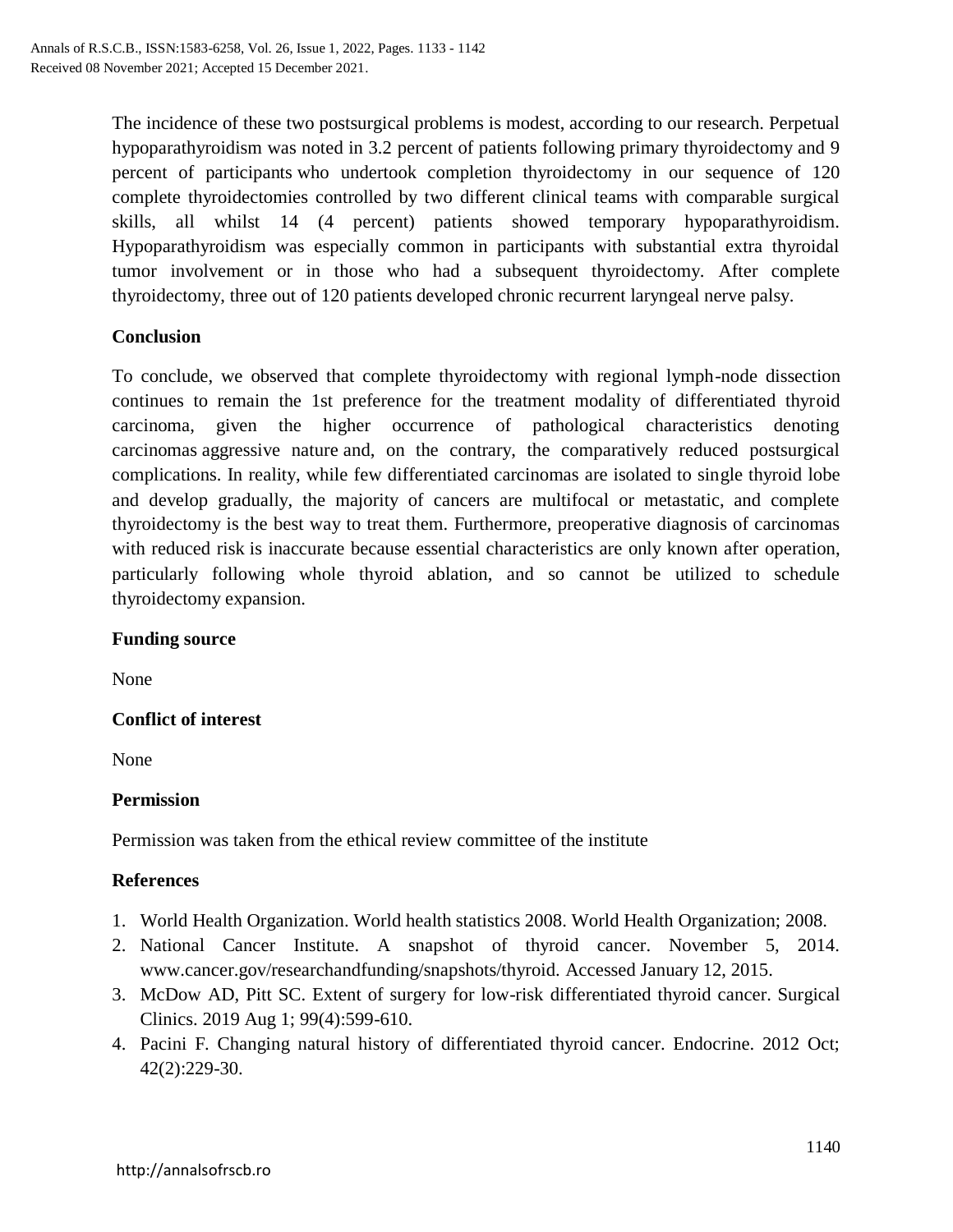The incidence of these two postsurgical problems is modest, according to our research. Perpetual hypoparathyroidism was noted in 3.2 percent of patients following primary thyroidectomy and 9 percent of participants who undertook completion thyroidectomy in our sequence of 120 complete thyroidectomies controlled by two different clinical teams with comparable surgical skills, all whilst 14 (4 percent) patients showed temporary hypoparathyroidism. Hypoparathyroidism was especially common in participants with substantial extra thyroidal tumor involvement or in those who had a subsequent thyroidectomy. After complete thyroidectomy, three out of 120 patients developed chronic recurrent laryngeal nerve palsy.

## **Conclusion**

To conclude, we observed that complete thyroidectomy with regional lymph-node dissection continues to remain the 1st preference for the treatment modality of differentiated thyroid carcinoma, given the higher occurrence of pathological characteristics denoting carcinomas aggressive nature and, on the contrary, the comparatively reduced postsurgical complications. In reality, while few differentiated carcinomas are isolated to single thyroid lobe and develop gradually, the majority of cancers are multifocal or metastatic, and complete thyroidectomy is the best way to treat them. Furthermore, preoperative diagnosis of carcinomas with reduced risk is inaccurate because essential characteristics are only known after operation, particularly following whole thyroid ablation, and so cannot be utilized to schedule thyroidectomy expansion.

#### **Funding source**

None

## **Conflict of interest**

None

## **Permission**

Permission was taken from the ethical review committee of the institute

## **References**

- 1. World Health Organization. World health statistics 2008. World Health Organization; 2008.
- 2. National Cancer Institute. A snapshot of thyroid cancer. November 5, 2014. www.cancer.gov/researchandfunding/snapshots/thyroid. Accessed January 12, 2015.
- 3. McDow AD, Pitt SC. Extent of surgery for low-risk differentiated thyroid cancer. Surgical Clinics. 2019 Aug 1; 99(4):599-610.
- 4. Pacini F. Changing natural history of differentiated thyroid cancer. Endocrine. 2012 Oct; 42(2):229-30.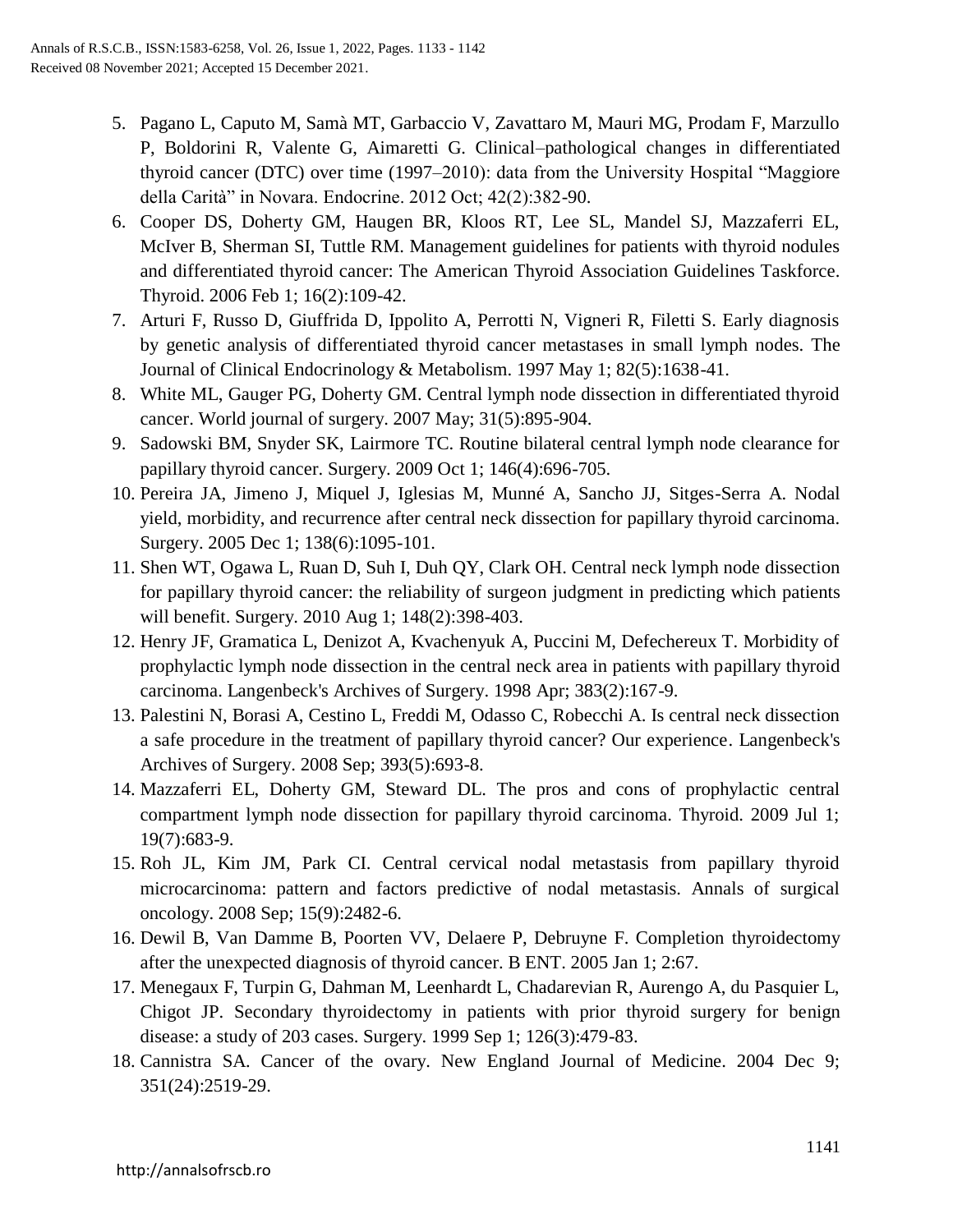- 5. Pagano L, Caputo M, Samà MT, Garbaccio V, Zavattaro M, Mauri MG, Prodam F, Marzullo P, Boldorini R, Valente G, Aimaretti G. Clinical–pathological changes in differentiated thyroid cancer (DTC) over time (1997–2010): data from the University Hospital "Maggiore della Carità" in Novara. Endocrine. 2012 Oct; 42(2):382-90.
- 6. Cooper DS, Doherty GM, Haugen BR, Kloos RT, Lee SL, Mandel SJ, Mazzaferri EL, McIver B, Sherman SI, Tuttle RM. Management guidelines for patients with thyroid nodules and differentiated thyroid cancer: The American Thyroid Association Guidelines Taskforce. Thyroid. 2006 Feb 1; 16(2):109-42.
- 7. Arturi F, Russo D, Giuffrida D, Ippolito A, Perrotti N, Vigneri R, Filetti S. Early diagnosis by genetic analysis of differentiated thyroid cancer metastases in small lymph nodes. The Journal of Clinical Endocrinology & Metabolism. 1997 May 1; 82(5):1638-41.
- 8. White ML, Gauger PG, Doherty GM. Central lymph node dissection in differentiated thyroid cancer. World journal of surgery. 2007 May; 31(5):895-904.
- 9. Sadowski BM, Snyder SK, Lairmore TC. Routine bilateral central lymph node clearance for papillary thyroid cancer. Surgery. 2009 Oct 1; 146(4):696-705.
- 10. Pereira JA, Jimeno J, Miquel J, Iglesias M, Munné A, Sancho JJ, Sitges-Serra A. Nodal yield, morbidity, and recurrence after central neck dissection for papillary thyroid carcinoma. Surgery. 2005 Dec 1; 138(6):1095-101.
- 11. Shen WT, Ogawa L, Ruan D, Suh I, Duh QY, Clark OH. Central neck lymph node dissection for papillary thyroid cancer: the reliability of surgeon judgment in predicting which patients will benefit. Surgery. 2010 Aug 1; 148(2):398-403.
- 12. Henry JF, Gramatica L, Denizot A, Kvachenyuk A, Puccini M, Defechereux T. Morbidity of prophylactic lymph node dissection in the central neck area in patients with papillary thyroid carcinoma. Langenbeck's Archives of Surgery. 1998 Apr; 383(2):167-9.
- 13. Palestini N, Borasi A, Cestino L, Freddi M, Odasso C, Robecchi A. Is central neck dissection a safe procedure in the treatment of papillary thyroid cancer? Our experience. Langenbeck's Archives of Surgery. 2008 Sep; 393(5):693-8.
- 14. Mazzaferri EL, Doherty GM, Steward DL. The pros and cons of prophylactic central compartment lymph node dissection for papillary thyroid carcinoma. Thyroid. 2009 Jul 1; 19(7):683-9.
- 15. Roh JL, Kim JM, Park CI. Central cervical nodal metastasis from papillary thyroid microcarcinoma: pattern and factors predictive of nodal metastasis. Annals of surgical oncology. 2008 Sep; 15(9):2482-6.
- 16. Dewil B, Van Damme B, Poorten VV, Delaere P, Debruyne F. Completion thyroidectomy after the unexpected diagnosis of thyroid cancer. B ENT. 2005 Jan 1; 2:67.
- 17. Menegaux F, Turpin G, Dahman M, Leenhardt L, Chadarevian R, Aurengo A, du Pasquier L, Chigot JP. Secondary thyroidectomy in patients with prior thyroid surgery for benign disease: a study of 203 cases. Surgery. 1999 Sep 1; 126(3):479-83.
- 18. Cannistra SA. Cancer of the ovary. New England Journal of Medicine. 2004 Dec 9; 351(24):2519-29.